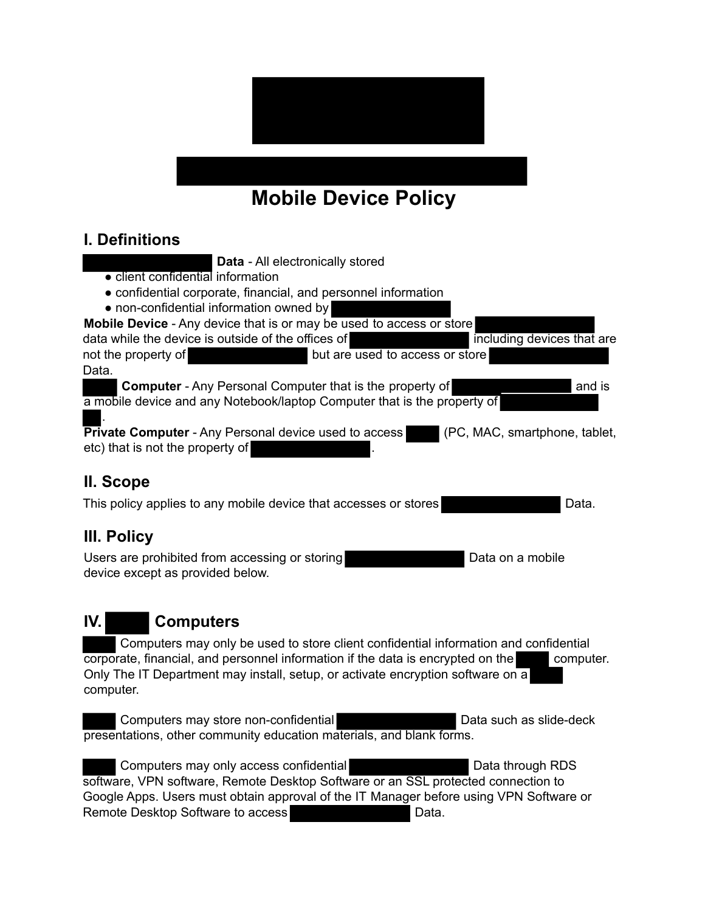

# **Mobile Device Policy**

#### **I. Definitions**

- **Data** All electronically stored
- client confidential information
- confidential corporate, financial, and personnel information
- non-confidential information owned by

**Mobile Device** - Any device that is or may be used to access or store

data while the device is outside of the offices of including devices that are not the property of but are used to access or store Data.

**Computer** - Any Personal Computer that is the property of **and is** and is a mobile device and any Notebook/laptop Computer that is the property of

. **Private Computer** - Any Personal device used to access (PC, MAC, smartphone, tablet, etc) that is not the property of

### **II. Scope**

This policy applies to any mobile device that accesses or stores **Data.** Data.

### **III. Policy**

Users are prohibited from accessing or storing Data on a mobile Data on a mobile device except as provided below.

## **IV. Computers**

 Computers may only be used to store client confidential information and confidential corporate, financial, and personnel information if the data is encrypted on the computer. Only The IT Department may install, setup, or activate encryption software on a computer.

Computers may store non-confidential Data such as slide-deck presentations, other community education materials, and blank forms.

Computers may only access confidential **Data through RDS** software, VPN software, Remote Desktop Software or an SSL protected connection to Google Apps. Users must obtain approval of the IT Manager before using VPN Software or Remote Desktop Software to access **Data.** Data.